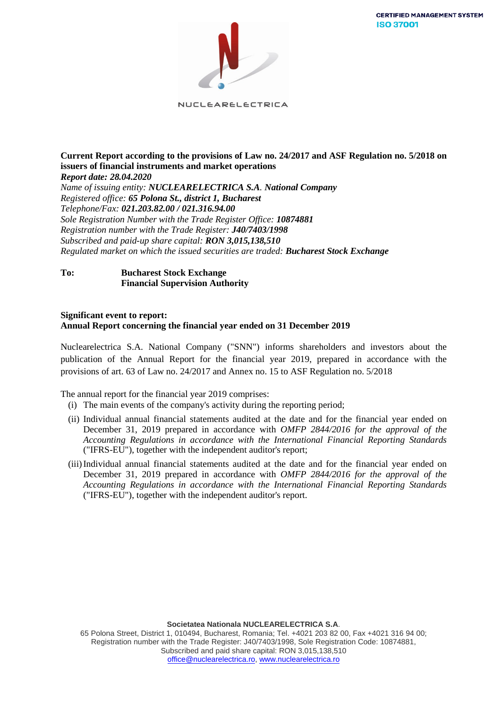**CERTIFIED MANAGEMENT SYSTEM ISO 37001** 



NUCLEARELECTRICA

## **Current Report according to the provisions of Law no. 24/2017 and ASF Regulation no. 5/2018 on issuers of financial instruments and market operations** *Report date: 28.04.2020*

*Name of issuing entity: NUCLEARELECTRICA S.A. National Company Registered office: 65 Polona St., district 1, Bucharest Telephone/Fax: 021.203.82.00 / 021.316.94.00 Sole Registration Number with the Trade Register Office: 10874881 Registration number with the Trade Register: J40/7403/1998 Subscribed and paid-up share capital: RON 3,015,138,510 Regulated market on which the issued securities are traded: Bucharest Stock Exchange*

## **To: Bucharest Stock Exchange Financial Supervision Authority**

## **Significant event to report: Annual Report concerning the financial year ended on 31 December 2019**

Nuclearelectrica S.A. National Company ("SNN") informs shareholders and investors about the publication of the Annual Report for the financial year 2019, prepared in accordance with the provisions of art. 63 of Law no. 24/2017 and Annex no. 15 to ASF Regulation no. 5/2018

## The annual report for the financial year 2019 comprises:

- (i) The main events of the company's activity during the reporting period;
- (ii) Individual annual financial statements audited at the date and for the financial year ended on December 31, 2019 prepared in accordance with *OMFP 2844/2016 for the approval of the Accounting Regulations in accordance with the International Financial Reporting Standards* ("IFRS-EU"), together with the independent auditor's report;
- (iii)Individual annual financial statements audited at the date and for the financial year ended on December 31, 2019 prepared in accordance with *OMFP 2844/2016 for the approval of the Accounting Regulations in accordance with the International Financial Reporting Standards* ("IFRS-EU"), together with the independent auditor's report.

65 Polona Street, District 1, 010494, Bucharest, Romania; Tel. +4021 203 82 00, Fax +4021 316 94 00; Registration number with the Trade Register: J40/7403/1998, Sole Registration Code: 10874881, Subscribed and paid share capital: RON 3,015,138,510 [office@nuclearelectrica.ro,](mailto:office@nuclearelectrica.ro) [www.nuclearelectrica.ro](http://www.nuclearelectrica.ro/)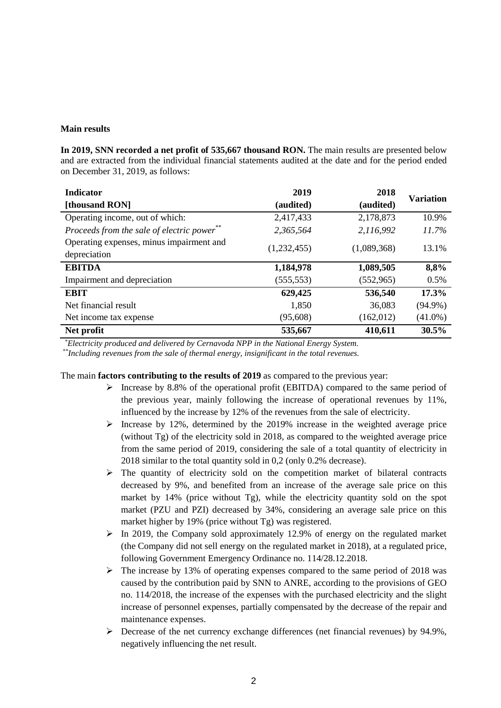#### **Main results**

In 2019, SNN recorded a net profit of 535,667 thousand RON. The main results are presented below and are extracted from the individual financial statements audited at the date and for the period ended on December 31, 2019, as follows:

| <b>Indicator</b>                           | 2019        | 2018        | <b>Variation</b> |  |
|--------------------------------------------|-------------|-------------|------------------|--|
| [thousand RON]                             | (audited)   | (audited)   |                  |  |
| Operating income, out of which:            | 2,417,433   | 2,178,873   | 10.9%            |  |
| Proceeds from the sale of electric power** | 2,365,564   | 2,116,992   | 11.7%            |  |
| Operating expenses, minus impairment and   | (1,232,455) | (1,089,368) | 13.1%            |  |
| depreciation                               |             |             |                  |  |
| <b>EBITDA</b>                              | 1,184,978   | 1,089,505   | 8,8%             |  |
| Impairment and depreciation                | (555, 553)  | (552, 965)  | 0.5%             |  |
| <b>EBIT</b>                                | 629,425     | 536,540     | 17.3%            |  |
| Net financial result                       | 1,850       | 36,083      | $(94.9\%)$       |  |
| Net income tax expense                     | (95, 608)   | (162,012)   | $(41.0\%)$       |  |
| Net profit                                 | 535,667     | 410,611     | 30.5%            |  |

 *\* Electricity produced and delivered by Cernavoda NPP in the National Energy System.*

*\*\*Including revenues from the sale of thermal energy, insignificant in the total revenues.*

The main **factors contributing to the results of 2019** as compared to the previous year:

- $\triangleright$  Increase by 8.8% of the operational profit (EBITDA) compared to the same period of the previous year, mainly following the increase of operational revenues by 11%, influenced by the increase by 12% of the revenues from the sale of electricity.
- $\triangleright$  Increase by 12%, determined by the 2019% increase in the weighted average price (without Tg) of the electricity sold in 2018, as compared to the weighted average price from the same period of 2019, considering the sale of a total quantity of electricity in 2018 similar to the total quantity sold in 0,2 (only 0.2% decrease).
- $\triangleright$  The quantity of electricity sold on the competition market of bilateral contracts decreased by 9%, and benefited from an increase of the average sale price on this market by 14% (price without Tg), while the electricity quantity sold on the spot market (PZU and PZI) decreased by 34%, considering an average sale price on this market higher by 19% (price without Tg) was registered.
- $\triangleright$  In 2019, the Company sold approximately 12.9% of energy on the regulated market (the Company did not sell energy on the regulated market in 2018), at a regulated price, following Government Emergency Ordinance no. 114/28.12.2018.
- $\triangleright$  The increase by 13% of operating expenses compared to the same period of 2018 was caused by the contribution paid by SNN to ANRE, according to the provisions of GEO no. 114/2018, the increase of the expenses with the purchased electricity and the slight increase of personnel expenses, partially compensated by the decrease of the repair and maintenance expenses.
- $\triangleright$  Decrease of the net currency exchange differences (net financial revenues) by 94.9%, negatively influencing the net result.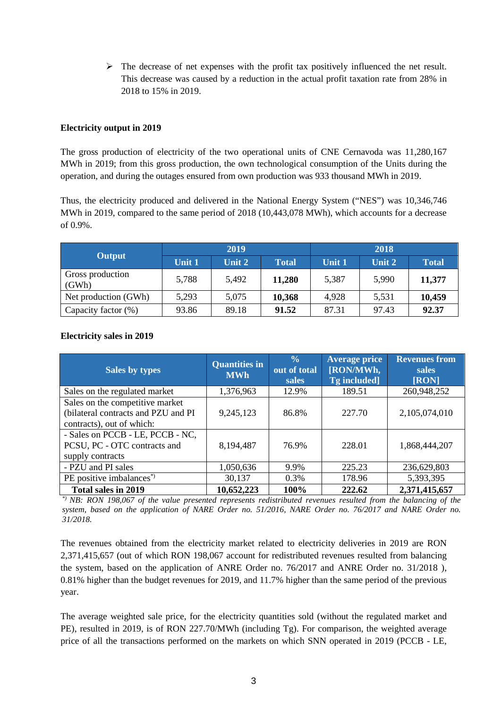$\triangleright$  The decrease of net expenses with the profit tax positively influenced the net result. This decrease was caused by a reduction in the actual profit taxation rate from 28% in 2018 to 15% in 2019.

## **Electricity output in 2019**

The gross production of electricity of the two operational units of CNE Cernavoda was 11,280,167 MWh in 2019; from this gross production, the own technological consumption of the Units during the operation, and during the outages ensured from own production was 933 thousand MWh in 2019.

Thus, the electricity produced and delivered in the National Energy System ("NES") was 10,346,746 MWh in 2019, compared to the same period of 2018 (10,443,078 MWh), which accounts for a decrease of 0.9%.

| <b>Output</b>             | 2019   |        |              | 2018   |        |              |
|---------------------------|--------|--------|--------------|--------|--------|--------------|
|                           | Unit 1 | Unit 2 | <b>Total</b> | Unit 1 | Unit 2 | <b>Total</b> |
| Gross production<br>(GWh) | 5,788  | 5,492  | 11,280       | 5,387  | 5,990  | 11,377       |
| Net production (GWh)      | 5,293  | 5,075  | 10,368       | 4,928  | 5,531  | 10,459       |
| Capacity factor (%)       | 93.86  | 89.18  | 91.52        | 87.31  | 97.43  | 92.37        |

| <b>Sales by types</b>                                                                               | <b>Quantities in</b><br><b>MWh</b> | $\frac{0}{0}$<br>out of total<br>sales | <b>Average price</b><br>[RON/MWh,<br>Tg included] | <b>Revenues from</b><br>sales<br>[RON] |
|-----------------------------------------------------------------------------------------------------|------------------------------------|----------------------------------------|---------------------------------------------------|----------------------------------------|
| Sales on the regulated market                                                                       | 1,376,963                          | 12.9%                                  | 189.51                                            | 260,948,252                            |
| Sales on the competitive market<br>(bilateral contracts and PZU and PI<br>contracts), out of which: | 9,245,123                          | 86.8%                                  | 227.70                                            | 2,105,074,010                          |
| - Sales on PCCB - LE, PCCB - NC,<br>PCSU, PC - OTC contracts and<br>supply contracts                | 8,194,487                          | 76.9%                                  | 228.01                                            | 1,868,444,207                          |
| - PZU and PI sales                                                                                  | 1,050,636                          | 9.9%                                   | 225.23                                            | 236,629,803                            |
| PE positive imbalances <sup>*</sup> )                                                               | 30,137                             | 0.3%                                   | 178.96                                            | 5,393,395                              |
| Total sales in 2019                                                                                 | 10,652,223                         | 100%                                   | 222.62                                            | 2,371,415,657                          |

## **Electricity sales in 2019**

*\*) NB: RON 198,067 of the value presented represents redistributed revenues resulted from the balancing of the*  system, based on the application of NARE Order no. 51/2016, NARE Order no. 76/2017 and NARE Order no. *31/2018.*

The revenues obtained from the electricity market related to electricity deliveries in 2019 are RON 2,371,415,657 (out of which RON 198,067 account for redistributed revenues resulted from balancing the system, based on the application of ANRE Order no. 76/2017 and ANRE Order no. 31/2018 ), 0.81% higher than the budget revenues for 2019, and 11.7% higher than the same period of the previous year.

The average weighted sale price, for the electricity quantities sold (without the regulated market and PE), resulted in 2019, is of RON 227.70/MWh (including Tg). For comparison, the weighted average price of all the transactions performed on the markets on which SNN operated in 2019 (PCCB - LE,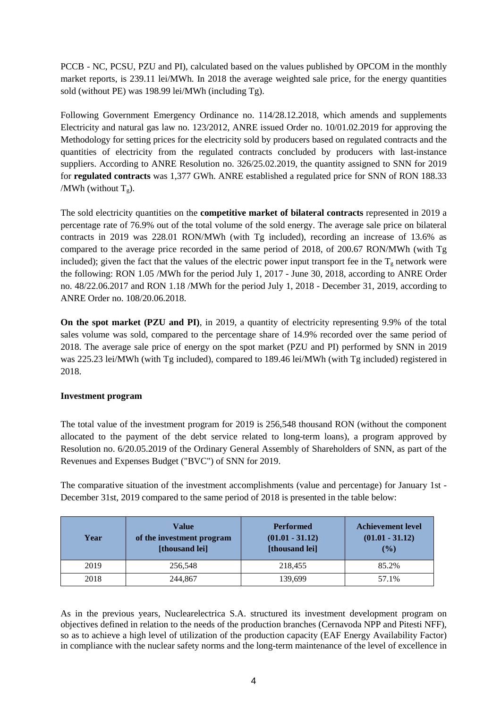PCCB - NC, PCSU, PZU and PI), calculated based on the values published by OPCOM in the monthly market reports, is 239.11 lei/MWh. In 2018 the average weighted sale price, for the energy quantities sold (without PE) was 198.99 lei/MWh (including Tg).

Following Government Emergency Ordinance no. 114/28.12.2018, which amends and supplements Electricity and natural gas law no. 123/2012, ANRE issued Order no. 10/01.02.2019 for approving the Methodology for setting prices for the electricity sold by producers based on regulated contracts and the quantities of electricity from the regulated contracts concluded by producers with last-instance suppliers. According to ANRE Resolution no. 326/25.02.2019, the quantity assigned to SNN for 2019 for **regulated contracts** was 1,377 GWh. ANRE established a regulated price for SNN of RON 188.33 /MWh (without  $T_g$ ).

The sold electricity quantities on the **competitive market of bilateral contracts** represented in 2019 a percentage rate of 76.9% out of the total volume of the sold energy. The average sale price on bilateral contracts in 2019 was 228.01 RON/MWh (with Tg included), recording an increase of 13.6% as compared to the average price recorded in the same period of 2018, of 200.67 RON/MWh (with Tg included); given the fact that the values of the electric power input transport fee in the  $T_g$  network were the following: RON 1.05 /MWh for the period July 1, 2017 - June 30, 2018, according to ANRE Order no. 48/22.06.2017 and RON 1.18 /MWh for the period July 1, 2018 - December 31, 2019, according to ANRE Order no. 108/20.06.2018.

**On the spot market (PZU and PI)**, in 2019, a quantity of electricity representing 9.9% of the total sales volume was sold, compared to the percentage share of 14.9% recorded over the same period of 2018. The average sale price of energy on the spot market (PZU and PI) performed by SNN in 2019 was 225.23 lei/MWh (with Tg included), compared to 189.46 lei/MWh (with Tg included) registered in 2018.

# **Investment program**

The total value of the investment program for 2019 is 256,548 thousand RON (without the component allocated to the payment of the debt service related to long-term loans), a program approved by Resolution no. 6/20.05.2019 of the Ordinary General Assembly of Shareholders of SNN, as part of the Revenues and Expenses Budget ("BVC") of SNN for 2019.

The comparative situation of the investment accomplishments (value and percentage) for January 1st - December 31st, 2019 compared to the same period of 2018 is presented in the table below:

| Year | Value<br>of the investment program<br>[thousand lei] | <b>Performed</b><br>$(01.01 - 31.12)$<br>[thousand lei] | <b>Achievement level</b><br>$(01.01 - 31.12)$<br>$\frac{9}{6}$ |
|------|------------------------------------------------------|---------------------------------------------------------|----------------------------------------------------------------|
| 2019 | 256,548                                              | 218,455                                                 | 85.2%                                                          |
| 2018 | 244,867                                              | 139.699                                                 | 57.1%                                                          |

As in the previous years, Nuclearelectrica S.A. structured its investment development program on objectives defined in relation to the needs of the production branches (Cernavoda NPP and Pitesti NFF), so as to achieve a high level of utilization of the production capacity (EAF Energy Availability Factor) in compliance with the nuclear safety norms and the long-term maintenance of the level of excellence in